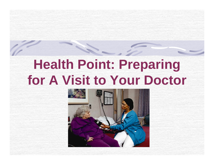# **Health Point: Preparing for A Visit to Your Doctor**

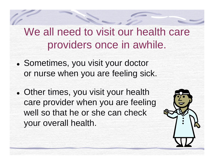We all need to visit our health care providers once in awhile.

- Sometimes, you visit your doctor or nurse when you are feeling sick.
- Other times, you visit your health care provider when you are feeling well so that he or she can check your overall health.

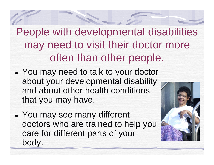People with developmental disabilities may need to visit their doctor more often than other people.

- You may need to talk to your doctor about your developmental disability and about other health conditions that you may have.
- You may see many different doctors who are trained to help you care for different parts of your body.

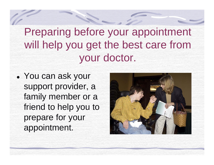Preparing before your appointment will help you get the best care from your doctor.

• You can ask your support provider, a family member or a friend to help you to prepare for your appointment.

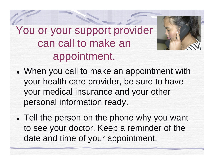You or your support provider can call to make an appointment.



- When you call to make an appointment with your health care provider, be sure to have your medical insurance and your other personal information ready.
- Tell the person on the phone why you want to see your doctor. Keep a reminder of the date and time of your appointment.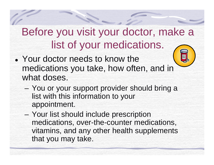# Before you visit your doctor, make a list of your medications.

- Your doctor needs to know the medications you take, how often, and in what doses.
	- $\mathcal{L}_{\mathcal{A}}$  You or your support provider should bring a list with this information to your appointment.
	- $\mathcal{L}_{\mathcal{A}}$  Your list should include prescription medications, over-the-counter medications, vitamins, and any other health supplements that you may take.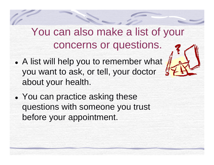#### You can also make a list of your concerns or questions.

- A list will help you to remember what you want to ask, or tell, your doctor about your health.
- $\bullet$ • You can practice asking these questions with someone you trust before your appointment.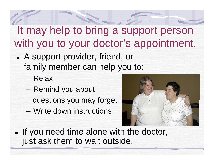## It may help to bring a support person with you to your doctor's appointment.

- A support provider, friend, or family member can help you to:
	- Relax
	- Remind you about questions you may forget
	- Write down instructions



• If you need time alone with the doctor, just ask them to wait outside.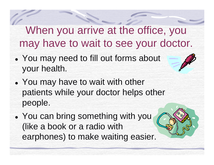When you arrive at the office, you may have to wait to see your doctor.

- You may need to fill out forms about your health.
- You may have to wait with other patients while your doctor helps other people.
- $\bullet$ • You can bring something with you (like a book or a radio with earphones) to make waiting easier.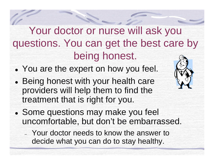Your doctor or nurse will ask you questions. You can get the best care by being honest.

- You are the expert on how you feel.
- $\bullet$ • Being honest with your health care providers will help them to find the treatment that is right for you.
- Some questions may make you feel uncomfortable, but don't be embarrassed.
	- Your doctor needs to know the answer to decide what you can do to stay healthy.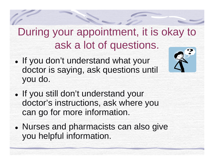# During your appointment, it is okay to ask a lot of questions.

• If you don't understand what your doctor is saying, ask questions until you do.



- If you still don't understand your doctor's instructions, ask where you can go for more information.
- $\bullet$ • Nurses and pharmacists can also give you helpful information.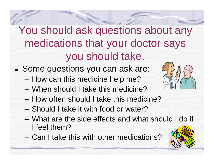# You should ask questions about any medications that your doctor says you should take.

- Some questions you can ask are:
	- $\mathcal{L}_{\mathcal{A}}$ How can this medicine help me?
	- When should I take this medicine?
	- How often should I take this medicine?
	- Should I take it with food or water?
	- What are the side effects and what should I do if I feel them?
	- Can I take this with other medications?

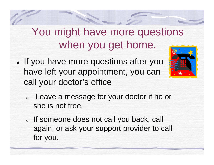### You might have more questions when you get home.

• If you have more questions after you have left your appointment, you can call your doctor's office



- o Leave a message for your doctor if he or she is not free.
- o If someone does not call you back, call again, or ask your support provider to call for you.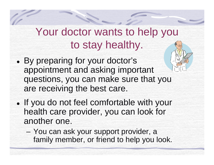# Your doctor wants to help you to stay healthy.

- $\bullet$  By preparing for your doctor's appointment and asking important questions, you can make sure that you are receiving the best care.
- If you do not feel comfortable with your health care provider, you can look for another one.
	- $\mathcal{L}_{\mathcal{A}}$  You can ask your support provider, a family member, or friend to help you look.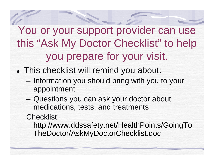You or your support provider can use this "Ask My Doctor Checklist" to help you prepare for your visit.

- This checklist will remind you about:
	- $\mathcal{L}_{\mathcal{A}}$  Information you should bring with you to your appointment
	- – Questions you can ask your doctor about medications, tests, and treatments

Checklist:

http://www.ddssafety.net/HealthPoints/GoingTo TheDoctor/AskMyDoctorChecklist.doc